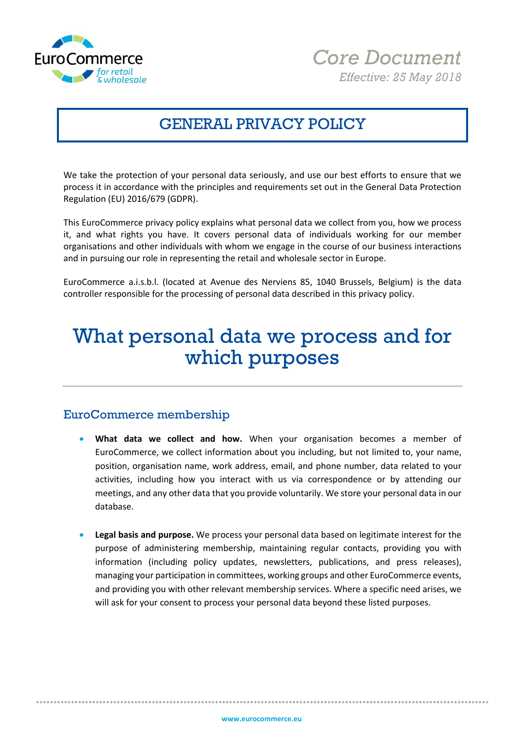



### GENERAL PRIVACY POLICY

We take the protection of your personal data seriously, and use our best efforts to ensure that we process it in accordance with the principles and requirements set out in the General Data Protection Regulation (EU) 2016/679 (GDPR).

This EuroCommerce privacy policy explains what personal data we collect from you, how we process it, and what rights you have. It covers personal data of individuals working for our member organisations and other individuals with whom we engage in the course of our business interactions and in pursuing our role in representing the retail and wholesale sector in Europe.

EuroCommerce a.i.s.b.l. (located at Avenue des Nerviens 85, 1040 Brussels, Belgium) is the data controller responsible for the processing of personal data described in this privacy policy.

## What personal data we process and for which purposes

### EuroCommerce membership

- **What data we collect and how.** When your organisation becomes a member of EuroCommerce, we collect information about you including, but not limited to, your name, position, organisation name, work address, email, and phone number, data related to your activities, including how you interact with us via correspondence or by attending our meetings, and any other data that you provide voluntarily. We store your personal data in our database.
- **Legal basis and purpose.** We process your personal data based on legitimate interest for the purpose of administering membership, maintaining regular contacts, providing you with information (including policy updates, newsletters, publications, and press releases), managing your participation in committees, working groups and other EuroCommerce events, and providing you with other relevant membership services. Where a specific need arises, we will ask for your consent to process your personal data beyond these listed purposes.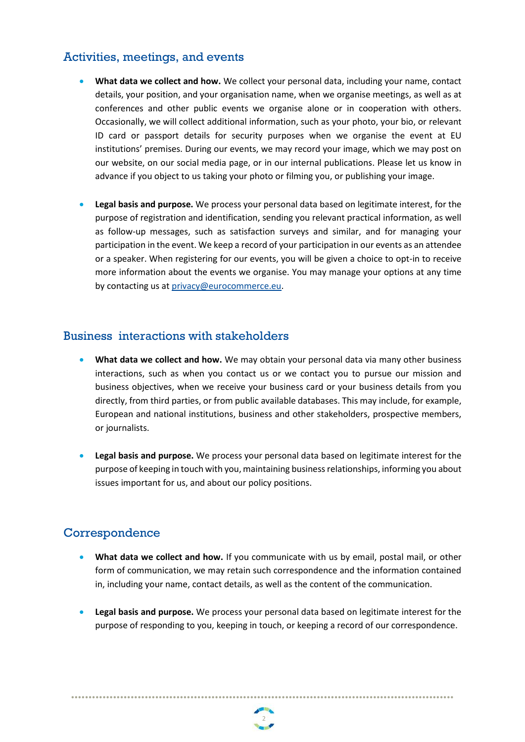### Activities, meetings, and events

- **What data we collect and how.** We collect your personal data, including your name, contact details, your position, and your organisation name, when we organise meetings, as well as at conferences and other public events we organise alone or in cooperation with others. Occasionally, we will collect additional information, such as your photo, your bio, or relevant ID card or passport details for security purposes when we organise the event at EU institutions' premises. During our events, we may record your image, which we may post on our website, on our social media page, or in our internal publications. Please let us know in advance if you object to us taking your photo or filming you, or publishing your image.
- **Legal basis and purpose.** We process your personal data based on legitimate interest, for the purpose of registration and identification, sending you relevant practical information, as well as follow-up messages, such as satisfaction surveys and similar, and for managing your participation in the event. We keep a record of your participation in our events as an attendee or a speaker. When registering for our events, you will be given a choice to opt-in to receive more information about the events we organise. You may manage your options at any time by contacting us a[t privacy@eurocommerce.eu.](mailto:privacy@eurocommerce.eu)

### Business interactions with stakeholders

- **What data we collect and how.** We may obtain your personal data via many other business interactions, such as when you contact us or we contact you to pursue our mission and business objectives, when we receive your business card or your business details from you directly, from third parties, or from public available databases. This may include, for example, European and national institutions, business and other stakeholders, prospective members, or journalists.
- **Legal basis and purpose.** We process your personal data based on legitimate interest for the purpose of keeping in touch with you, maintaining business relationships, informing you about issues important for us, and about our policy positions.

### Correspondence

- **What data we collect and how.** If you communicate with us by email, postal mail, or other form of communication, we may retain such correspondence and the information contained in, including your name, contact details, as well as the content of the communication.
- **Legal basis and purpose.** We process your personal data based on legitimate interest for the purpose of responding to you, keeping in touch, or keeping a record of our correspondence.

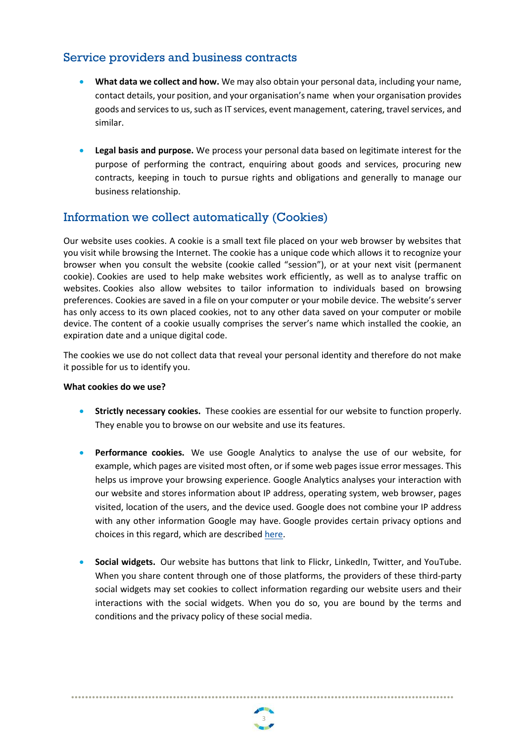### Service providers and business contracts

- **What data we collect and how.** We may also obtain your personal data, including your name, contact details, your position, and your organisation's name when your organisation provides goods and services to us, such as IT services, event management, catering, travel services, and similar.
- **Legal basis and purpose.** We process your personal data based on legitimate interest for the purpose of performing the contract, enquiring about goods and services, procuring new contracts, keeping in touch to pursue rights and obligations and generally to manage our business relationship.

### Information we collect automatically (Cookies)

Our website uses cookies. A cookie is a small text file placed on your web browser by websites that you visit while browsing the Internet. The cookie has a unique code which allows it to recognize your browser when you consult the website (cookie called "session"), or at your next visit (permanent cookie). Cookies are used to help make websites work efficiently, as well as to analyse traffic on websites. Cookies also allow websites to tailor information to individuals based on browsing preferences. Cookies are saved in a file on your computer or your mobile device. The website's server has only access to its own placed cookies, not to any other data saved on your computer or mobile device. The content of a cookie usually comprises the server's name which installed the cookie, an expiration date and a unique digital code.

The cookies we use do not collect data that reveal your personal identity and therefore do not make it possible for us to identify you.

#### **What cookies do we use?**

- **Strictly necessary cookies.** These cookies are essential for our website to function properly. They enable you to browse on our website and use its features.
- **Performance cookies.** We use Google Analytics to analyse the use of our website, for example, which pages are visited most often, or if some web pages issue error messages. This helps us improve your browsing experience. Google Analytics analyses your interaction with our website and stores information about IP address, operating system, web browser, pages visited, location of the users, and the device used. Google does not combine your IP address with any other information Google may have. Google provides certain privacy options and choices in this regard, which are described [here.](https://policies.google.com/technologies/partner-sites)
- Social widgets. Our website has buttons that link to Flickr, LinkedIn, Twitter, and YouTube. When you share content through one of those platforms, the providers of these third-party social widgets may set cookies to collect information regarding our website users and their interactions with the social widgets. When you do so, you are bound by the terms and conditions and the privacy policy of these social media.

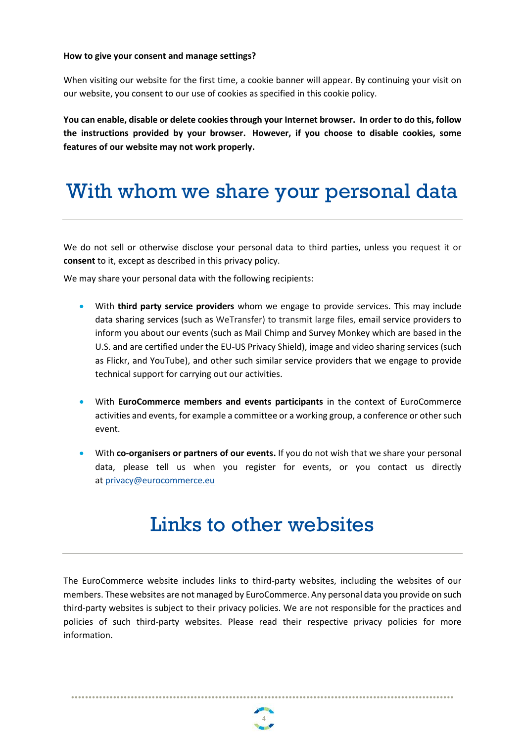#### **How to give your consent and manage settings?**

When visiting our website for the first time, a cookie banner will appear. By continuing your visit on our website, you consent to our use of cookies as specified in this cookie policy.

**You can enable, disable or delete cookies through your Internet browser. In order to do this, follow the instructions provided by your browser. However, if you choose to disable cookies, some features of our website may not work properly.**

## With whom we share your personal data

We do not sell or otherwise disclose your personal data to third parties, unless you request it or **consent** to it, except as described in this privacy policy.

We may share your personal data with the following recipients:

- With **third party service providers** whom we engage to provide services. This may include data sharing services (such as WeTransfer) to transmit large files, email service providers to inform you about our events (such as Mail Chimp and Survey Monkey which are based in the U.S. and are certified under the EU-US Privacy Shield), image and video sharing services (such as Flickr, and YouTube), and other such similar service providers that we engage to provide technical support for carrying out our activities.
- With **EuroCommerce members and events participants** in the context of EuroCommerce activities and events, for example a committee or a working group, a conference or other such event.
- With **co-organisers or partners of our events.** If you do not wish that we share your personal data, please tell us when you register for events, or you contact us directly at [privacy@eurocommerce.eu](mailto:simon@eurocommerce.eu)

## Links to other websites

The EuroCommerce website includes links to third-party websites, including the websites of our members. These websites are not managed by EuroCommerce. Any personal data you provide on such third-party websites is subject to their privacy policies. We are not responsible for the practices and policies of such third-party websites. Please read their respective privacy policies for more information.

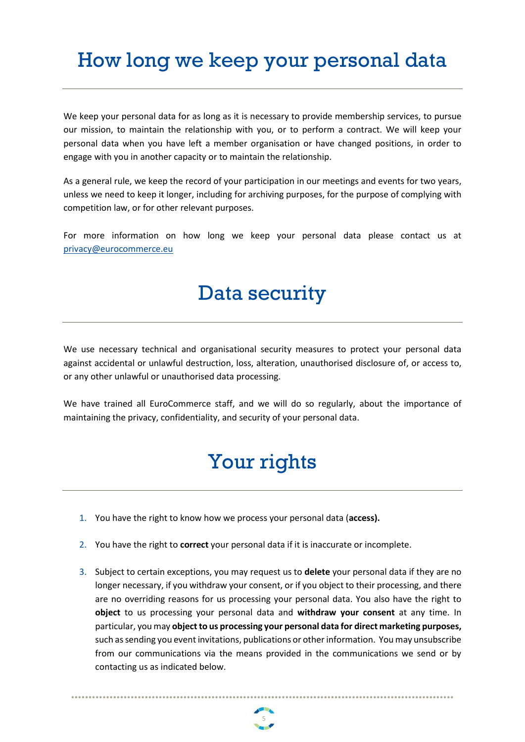# How long we keep your personal data

We keep your personal data for as long as it is necessary to provide membership services, to pursue our mission, to maintain the relationship with you, or to perform a contract. We will keep your personal data when you have left a member organisation or have changed positions, in order to engage with you in another capacity or to maintain the relationship.

As a general rule, we keep the record of your participation in our meetings and events for two years, unless we need to keep it longer, including for archiving purposes, for the purpose of complying with competition law, or for other relevant purposes.

For more information on how long we keep your personal data please contact us at [privacy@eurocommerce.eu](mailto:simon@eurocommerce.eu)

## Data security

We use necessary technical and organisational security measures to protect your personal data against accidental or unlawful destruction, loss, alteration, unauthorised disclosure of, or access to, or any other unlawful or unauthorised data processing.

We have trained all EuroCommerce staff, and we will do so regularly, about the importance of maintaining the privacy, confidentiality, and security of your personal data.

## Your rights

- 1. You have the right to know how we process your personal data (**access).**
- 2. You have the right to **correct** your personal data if it is inaccurate or incomplete.
- 3. Subject to certain exceptions, you may request us to **delete** your personal data if they are no longer necessary, if you withdraw your consent, or if you object to their processing, and there are no overriding reasons for us processing your personal data. You also have the right to **object** to us processing your personal data and **withdraw your consent** at any time. In particular, you may **object to us processing your personal data for direct marketing purposes,** such as sending you event invitations, publications or other information. You may unsubscribe from our communications via the means provided in the communications we send or by contacting us as indicated below.